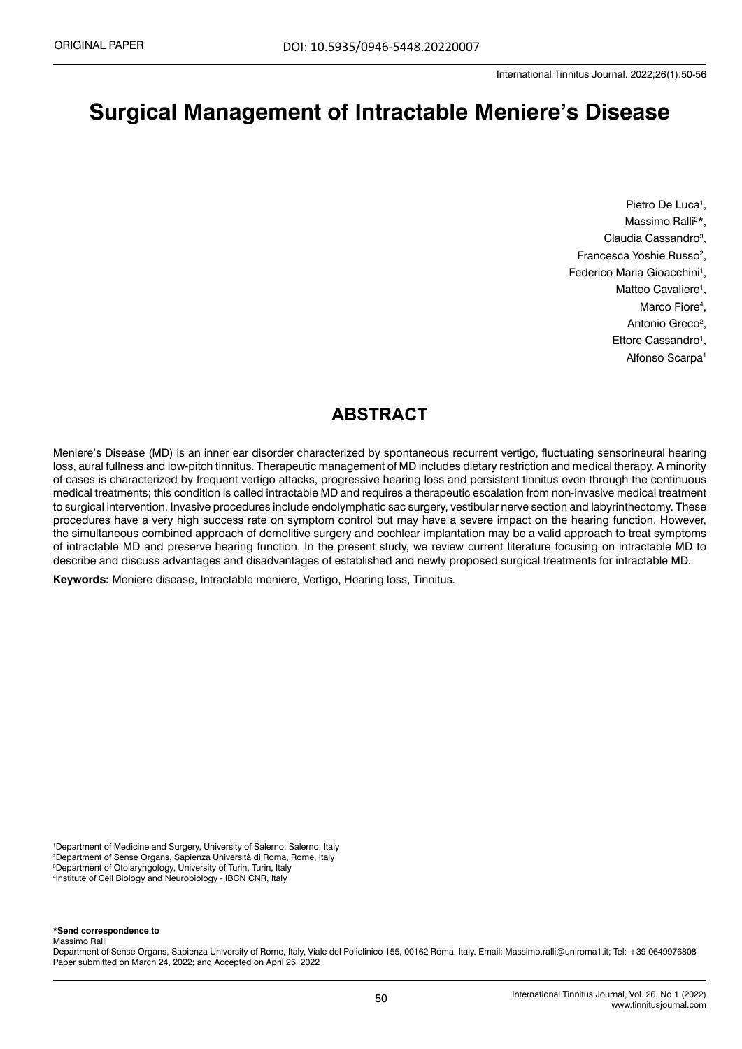# **Surgical Management of Intractable Meniere's Disease**

Pietro De Luca<sup>1</sup>, Massimo Ralli<sup>2\*</sup>, Claudia Cassandro<sup>3</sup>, Francesca Yoshie Russo<sup>2</sup>, Federico Maria Gioacchini<sup>1</sup>, Matteo Cavaliere<sup>1</sup>, Marco Fiore<sup>4</sup>, Antonio Greco<sup>2</sup>, Ettore Cassandro<sup>1</sup>, Alfonso Scarpa<sup>1</sup>

## **ABSTRACT**

Meniere's Disease (MD) is an inner ear disorder characterized by spontaneous recurrent vertigo, fluctuating sensorineural hearing loss, aural fullness and low-pitch tinnitus. Therapeutic management of MD includes dietary restriction and medical therapy. A minority of cases is characterized by frequent vertigo attacks, progressive hearing loss and persistent tinnitus even through the continuous medical treatments; this condition is called intractable MD and requires a therapeutic escalation from non-invasive medical treatment to surgical intervention. Invasive procedures include endolymphatic sac surgery, vestibular nerve section and labyrinthectomy. These procedures have a very high success rate on symptom control but may have a severe impact on the hearing function. However, the simultaneous combined approach of demolitive surgery and cochlear implantation may be a valid approach to treat symptoms of intractable MD and preserve hearing function. In the present study, we review current literature focusing on intractable MD to describe and discuss advantages and disadvantages of established and newly proposed surgical treatments for intractable MD.

**Keywords:** Meniere disease, Intractable meniere, Vertigo, Hearing loss, Tinnitus.

 Department of Medicine and Surgery, University of Salerno, Salerno, Italy Department of Sense Organs, Sapienza Università di Roma, Rome, Italy Department of Otolaryngology, University of Turin, Turin, Italy Institute of Cell Biology and Neurobiology - IBCN CNR, Italy

\***Send correspondence to** Massimo Ralli

Department of Sense Organs, Sapienza University of Rome, Italy, Viale del Policlinico 155, 00162 Roma, Italy. Email: Massimo.ralli@uniroma1.it; Tel: +39 0649976808 Paper submitted on March 24, 2022; and Accepted on April 25, 2022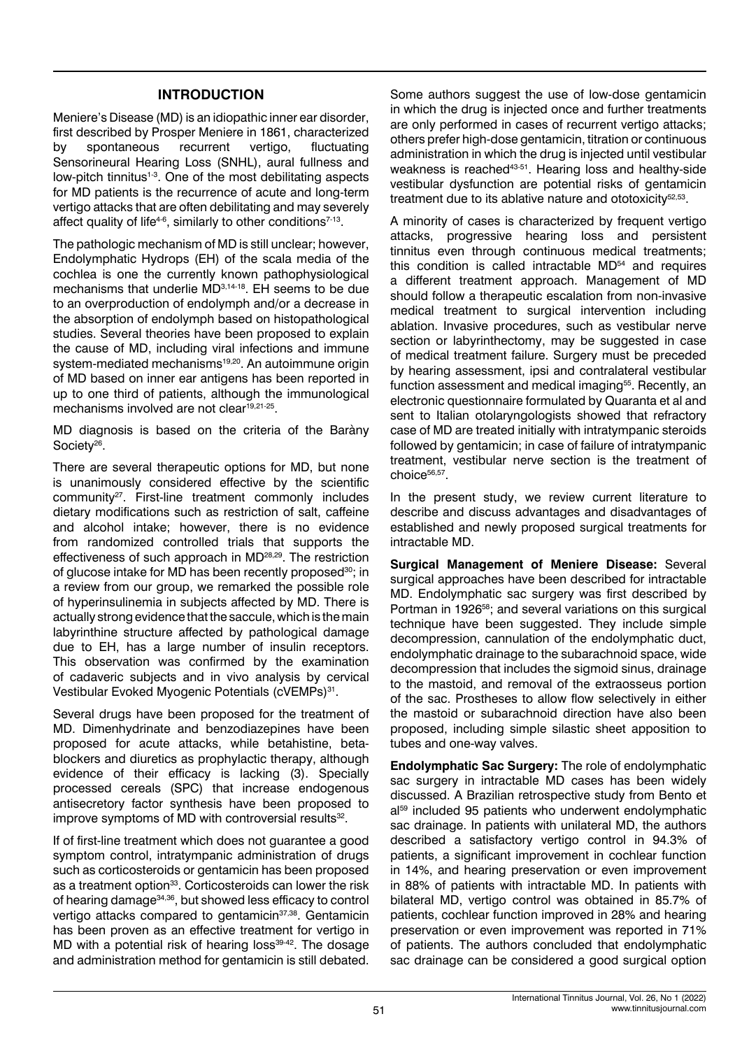#### **INTRODUCTION**

Meniere's Disease (MD) is an idiopathic inner ear disorder, first described by Prosper Meniere in 1861, characterized by spontaneous recurrent vertigo, fluctuating Sensorineural Hearing Loss (SNHL), aural fullness and low-pitch tinnitus<sup>1-3</sup>. One of the most debilitating aspects for MD patients is the recurrence of acute and long-term vertigo attacks that are often debilitating and may severely affect quality of life<sup>4-6</sup>, similarly to other conditions<sup>7-13</sup>.

The pathologic mechanism of MD is still unclear; however, Endolymphatic Hydrops (EH) of the scala media of the cochlea is one the currently known pathophysiological mechanisms that underlie MD3,14-18. EH seems to be due to an overproduction of endolymph and/or a decrease in the absorption of endolymph based on histopathological studies. Several theories have been proposed to explain the cause of MD, including viral infections and immune system-mediated mechanisms<sup>19,20</sup>. An autoimmune origin of MD based on inner ear antigens has been reported in up to one third of patients, although the immunological mechanisms involved are not clear<sup>19,21-25</sup>.

MD diagnosis is based on the criteria of the Baràny Society<sup>26</sup>.

There are several therapeutic options for MD, but none is unanimously considered effective by the scientific community<sup>27</sup>. First-line treatment commonly includes dietary modifications such as restriction of salt, caffeine and alcohol intake; however, there is no evidence from randomized controlled trials that supports the effectiveness of such approach in MD28,29. The restriction of glucose intake for MD has been recently proposed<sup>30</sup>; in a review from our group, we remarked the possible role of hyperinsulinemia in subjects affected by MD. There is actually strong evidence that the saccule, which is the main labyrinthine structure affected by pathological damage due to EH, has a large number of insulin receptors. This observation was confirmed by the examination of cadaveric subjects and in vivo analysis by cervical Vestibular Evoked Myogenic Potentials (cVEMPs)<sup>31</sup>.

Several drugs have been proposed for the treatment of MD. Dimenhydrinate and benzodiazepines have been proposed for acute attacks, while betahistine, betablockers and diuretics as prophylactic therapy, although evidence of their efficacy is lacking (3). Specially processed cereals (SPC) that increase endogenous antisecretory factor synthesis have been proposed to improve symptoms of MD with controversial results<sup>32</sup>.

If of first-line treatment which does not guarantee a good symptom control, intratympanic administration of drugs such as corticosteroids or gentamicin has been proposed as a treatment option<sup>33</sup>. Corticosteroids can lower the risk of hearing damage<sup>34,36</sup>, but showed less efficacy to control vertigo attacks compared to gentamicin<sup>37,38</sup>. Gentamicin has been proven as an effective treatment for vertigo in MD with a potential risk of hearing loss<sup>39-42</sup>. The dosage and administration method for gentamicin is still debated.

Some authors suggest the use of low-dose gentamicin in which the drug is injected once and further treatments are only performed in cases of recurrent vertigo attacks; others prefer high-dose gentamicin, titration or continuous administration in which the drug is injected until vestibular weakness is reached<sup>43-51</sup>. Hearing loss and healthy-side vestibular dysfunction are potential risks of gentamicin treatment due to its ablative nature and ototoxicity<sup>52,53</sup>.

A minority of cases is characterized by frequent vertigo attacks, progressive hearing loss and persistent tinnitus even through continuous medical treatments; this condition is called intractable  $MD<sup>54</sup>$  and requires a different treatment approach. Management of MD should follow a therapeutic escalation from non-invasive medical treatment to surgical intervention including ablation. Invasive procedures, such as vestibular nerve section or labyrinthectomy, may be suggested in case of medical treatment failure. Surgery must be preceded by hearing assessment, ipsi and contralateral vestibular function assessment and medical imaging<sup>55</sup>. Recently, an electronic questionnaire formulated by Quaranta et al and sent to Italian otolaryngologists showed that refractory case of MD are treated initially with intratympanic steroids followed by gentamicin; in case of failure of intratympanic treatment, vestibular nerve section is the treatment of choice<sup>56,57</sup>.

In the present study, we review current literature to describe and discuss advantages and disadvantages of established and newly proposed surgical treatments for intractable MD.

**Surgical Management of Meniere Disease:** Several surgical approaches have been described for intractable MD. Endolymphatic sac surgery was first described by Portman in 1926<sup>58</sup>; and several variations on this surgical technique have been suggested. They include simple decompression, cannulation of the endolymphatic duct, endolymphatic drainage to the subarachnoid space, wide decompression that includes the sigmoid sinus, drainage to the mastoid, and removal of the extraosseus portion of the sac. Prostheses to allow flow selectively in either the mastoid or subarachnoid direction have also been proposed, including simple silastic sheet apposition to tubes and one-way valves.

**Endolymphatic Sac Surgery:** The role of endolymphatic sac surgery in intractable MD cases has been widely discussed. A Brazilian retrospective study from Bento et al<sup>59</sup> included 95 patients who underwent endolymphatic sac drainage. In patients with unilateral MD, the authors described a satisfactory vertigo control in 94.3% of patients, a significant improvement in cochlear function in 14%, and hearing preservation or even improvement in 88% of patients with intractable MD. In patients with bilateral MD, vertigo control was obtained in 85.7% of patients, cochlear function improved in 28% and hearing preservation or even improvement was reported in 71% of patients. The authors concluded that endolymphatic sac drainage can be considered a good surgical option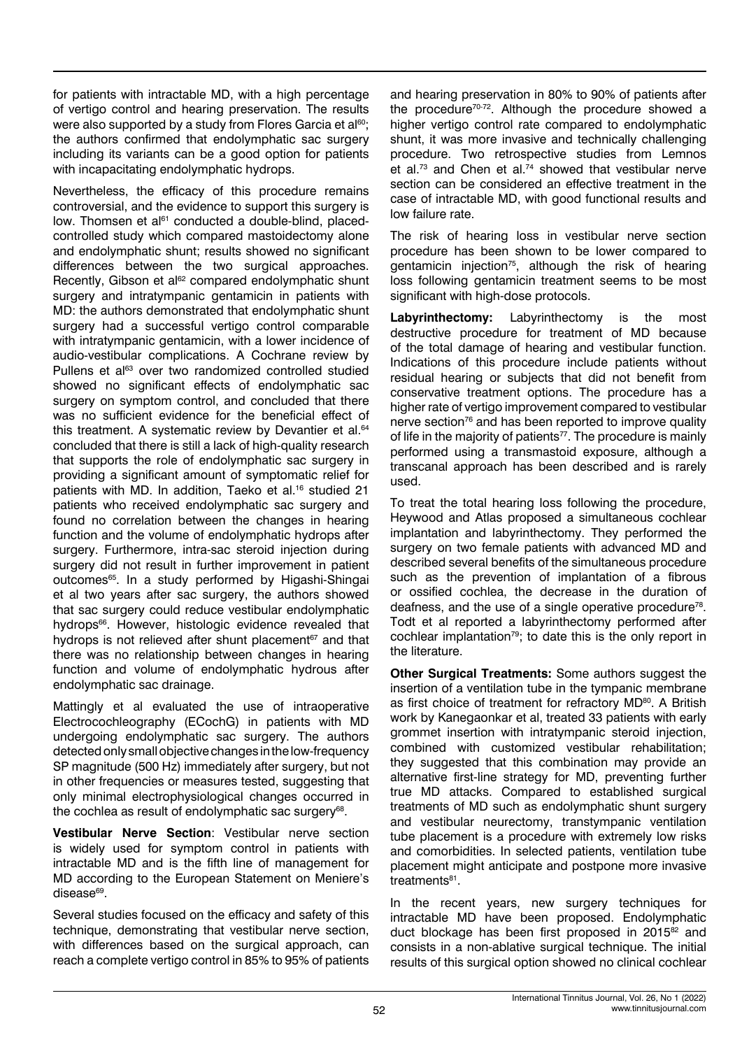for patients with intractable MD, with a high percentage of vertigo control and hearing preservation. The results were also supported by a study from Flores Garcia et al<sup>60</sup>; the authors confirmed that endolymphatic sac surgery including its variants can be a good option for patients with incapacitating endolymphatic hydrops.

Nevertheless, the efficacy of this procedure remains controversial, and the evidence to support this surgery is low. Thomsen et al<sup>61</sup> conducted a double-blind, placedcontrolled study which compared mastoidectomy alone and endolymphatic shunt; results showed no significant differences between the two surgical approaches. Recently, Gibson et al<sup>62</sup> compared endolymphatic shunt surgery and intratympanic gentamicin in patients with MD: the authors demonstrated that endolymphatic shunt surgery had a successful vertigo control comparable with intratympanic gentamicin, with a lower incidence of audio-vestibular complications. A Cochrane review by Pullens et al<sup>63</sup> over two randomized controlled studied showed no significant effects of endolymphatic sac surgery on symptom control, and concluded that there was no sufficient evidence for the beneficial effect of this treatment. A systematic review by Devantier et al.<sup>64</sup> concluded that there is still a lack of high-quality research that supports the role of endolymphatic sac surgery in providing a significant amount of symptomatic relief for patients with MD. In addition, Taeko et al.<sup>16</sup> studied 21 patients who received endolymphatic sac surgery and found no correlation between the changes in hearing function and the volume of endolymphatic hydrops after surgery. Furthermore, intra-sac steroid injection during surgery did not result in further improvement in patient outcomes<sup>65</sup>. In a study performed by Higashi-Shingai et al two years after sac surgery, the authors showed that sac surgery could reduce vestibular endolymphatic hydrops<sup>66</sup>. However, histologic evidence revealed that hydrops is not relieved after shunt placement<sup>67</sup> and that there was no relationship between changes in hearing function and volume of endolymphatic hydrous after endolymphatic sac drainage.

Mattingly et al evaluated the use of intraoperative Electrocochleography (ECochG) in patients with MD undergoing endolymphatic sac surgery. The authors detected only small objective changes in the low-frequency SP magnitude (500 Hz) immediately after surgery, but not in other frequencies or measures tested, suggesting that only minimal electrophysiological changes occurred in the cochlea as result of endolymphatic sac surgery<sup>68</sup>.

**Vestibular Nerve Section**: Vestibular nerve section is widely used for symptom control in patients with intractable MD and is the fifth line of management for MD according to the European Statement on Meniere's disease<sup>69</sup>.

Several studies focused on the efficacy and safety of this technique, demonstrating that vestibular nerve section, with differences based on the surgical approach, can reach a complete vertigo control in 85% to 95% of patients and hearing preservation in 80% to 90% of patients after the procedure<sup>70-72</sup>. Although the procedure showed a higher vertigo control rate compared to endolymphatic shunt, it was more invasive and technically challenging procedure. Two retrospective studies from Lemnos et al.<sup>73</sup> and Chen et al.<sup>74</sup> showed that vestibular nerve section can be considered an effective treatment in the case of intractable MD, with good functional results and low failure rate.

The risk of hearing loss in vestibular nerve section procedure has been shown to be lower compared to gentamicin injection<sup>75</sup>, although the risk of hearing loss following gentamicin treatment seems to be most significant with high-dose protocols.

**Labyrinthectomy:** Labyrinthectomy is the most destructive procedure for treatment of MD because of the total damage of hearing and vestibular function. Indications of this procedure include patients without residual hearing or subjects that did not benefit from conservative treatment options. The procedure has a higher rate of vertigo improvement compared to vestibular nerve section<sup>76</sup> and has been reported to improve quality of life in the majority of patients<sup>77</sup>. The procedure is mainly performed using a transmastoid exposure, although a transcanal approach has been described and is rarely used.

To treat the total hearing loss following the procedure, Heywood and Atlas proposed a simultaneous cochlear implantation and labyrinthectomy. They performed the surgery on two female patients with advanced MD and described several benefits of the simultaneous procedure such as the prevention of implantation of a fibrous or ossified cochlea, the decrease in the duration of deafness, and the use of a single operative procedure<sup>78</sup>. Todt et al reported a labyrinthectomy performed after cochlear implantation<sup>79</sup>; to date this is the only report in the literature.

**Other Surgical Treatments:** Some authors suggest the insertion of a ventilation tube in the tympanic membrane as first choice of treatment for refractory MD<sup>80</sup>. A British work by Kanegaonkar et al, treated 33 patients with early grommet insertion with intratympanic steroid injection, combined with customized vestibular rehabilitation; they suggested that this combination may provide an alternative first-line strategy for MD, preventing further true MD attacks. Compared to established surgical treatments of MD such as endolymphatic shunt surgery and vestibular neurectomy, transtympanic ventilation tube placement is a procedure with extremely low risks and comorbidities. In selected patients, ventilation tube placement might anticipate and postpone more invasive treatments<sup>81</sup>.

In the recent years, new surgery techniques for intractable MD have been proposed. Endolymphatic duct blockage has been first proposed in 2015<sup>82</sup> and consists in a non-ablative surgical technique. The initial results of this surgical option showed no clinical cochlear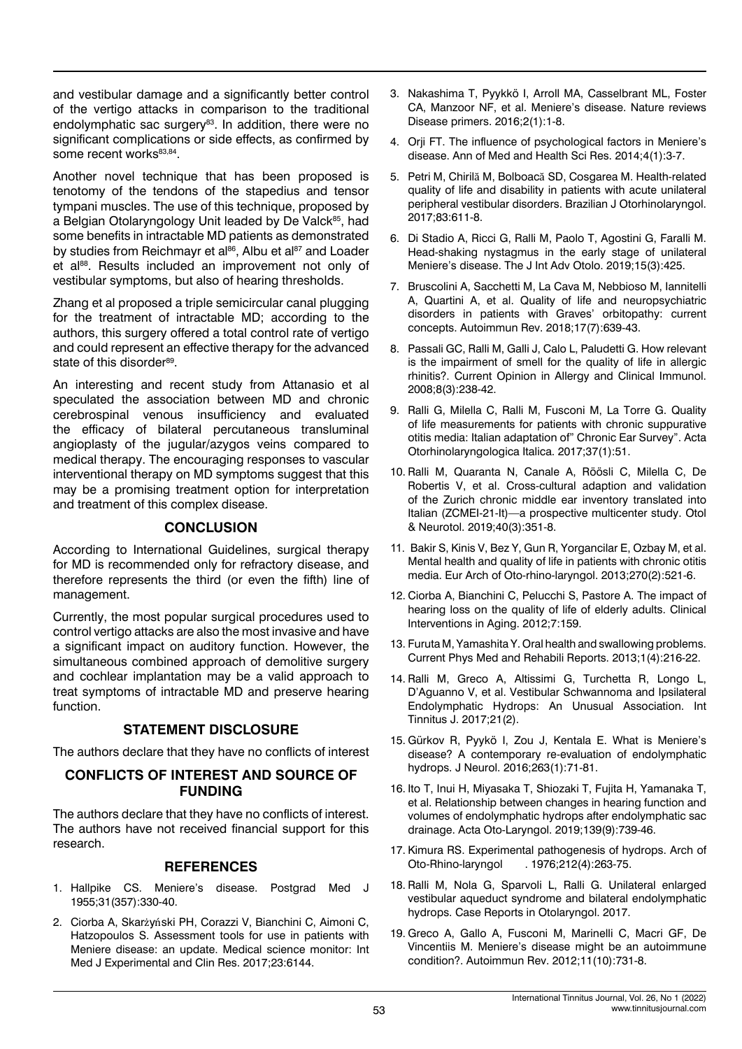and vestibular damage and a significantly better control of the vertigo attacks in comparison to the traditional endolymphatic sac surgery<sup>83</sup>. In addition, there were no significant complications or side effects, as confirmed by some recent works83,84.

Another novel technique that has been proposed is tenotomy of the tendons of the stapedius and tensor tympani muscles. The use of this technique, proposed by a Belgian Otolaryngology Unit leaded by De Valck<sup>85</sup>, had some benefits in intractable MD patients as demonstrated by studies from Reichmayr et al<sup>86</sup>, Albu et al<sup>87</sup> and Loader et al<sup>88</sup>. Results included an improvement not only of vestibular symptoms, but also of hearing thresholds.

Zhang et al proposed a triple semicircular canal plugging for the treatment of intractable MD; according to the authors, this surgery offered a total control rate of vertigo and could represent an effective therapy for the advanced state of this disorder<sup>89</sup>.

An interesting and recent study from Attanasio et al speculated the association between MD and chronic cerebrospinal venous insufficiency and evaluated the efficacy of bilateral percutaneous transluminal angioplasty of the jugular/azygos veins compared to medical therapy. The encouraging responses to vascular interventional therapy on MD symptoms suggest that this may be a promising treatment option for interpretation and treatment of this complex disease.

#### **CONCLUSION**

According to International Guidelines, surgical therapy for MD is recommended only for refractory disease, and therefore represents the third (or even the fifth) line of management.

Currently, the most popular surgical procedures used to control vertigo attacks are also the most invasive and have a significant impact on auditory function. However, the simultaneous combined approach of demolitive surgery and cochlear implantation may be a valid approach to treat symptoms of intractable MD and preserve hearing function.

### **STATEMENT DISCLOSURE**

The authors declare that they have no conflicts of interest

### **CONFLICTS OF INTEREST AND SOURCE OF FUNDING**

The authors declare that they have no conflicts of interest. The authors have not received financial support for this research.

#### **REFERENCES**

- 1. Hallpike CS. [Meniere's disease](https://pmj.bmj.com/content/postgradmedj/31/357/330.full.pdf). Postgrad Med J 1955;31(357):330-40.
- 2. Ciorba A, Skarżyński PH, Corazzi V, Bianchini C, Aimoni C, Hatzopoulos S. Assessment tools for use in patients with Meniere disease: an update. Medical science monitor: Int Med J Experimental and Clin Res. 2017;23:6144.
- 3. Nakashima T, Pyykkö I, Arroll MA, Casselbrant ML, Foster CA, Manzoor NF, et al. [Meniere's disease](https://researchportal.tuni.fi/en/publications/menieres-disease). Nature reviews Disease primers. 2016;2(1):1-8.
- 4. Orji FT. [The influence of psychological factors in Meniere's](https://www.ajol.info/index.php/amhsr/article/view/112139)  [disease](https://www.ajol.info/index.php/amhsr/article/view/112139). Ann of Med and Health Sci Res. 2014;4(1):3-7.
- 5. Petri M, Chirilă M, Bolboacă SD, Cosgarea M. [Health-related](https://www.scielo.br/j/bjorl/a/c3qJhqBrRYF39hpcR5GNXNN/abstract/?lang=en)  [quality of life and disability in patients with acute unilateral](https://www.scielo.br/j/bjorl/a/c3qJhqBrRYF39hpcR5GNXNN/abstract/?lang=en)  [peripheral vestibular disorders.](https://www.scielo.br/j/bjorl/a/c3qJhqBrRYF39hpcR5GNXNN/abstract/?lang=en) Brazilian J Otorhinolaryngol. 2017;83:611-8.
- 6. Di Stadio A, Ricci G, Ralli M, Paolo T, Agostini G, Faralli M. Head-shaking nystagmus in the early stage of unilateral Meniere's disease. The J Int Adv Otolo. 2019;15(3):425.
- 7. Bruscolini A, Sacchetti M, La Cava M, Nebbioso M, Iannitelli A, Quartini A, et al. [Quality of life and neuropsychiatric](https://www.sciencedirect.com/science/article/abs/pii/S1568997218301022)  [disorders in patients with Graves' orbitopathy: current](https://www.sciencedirect.com/science/article/abs/pii/S1568997218301022)  [concepts](https://www.sciencedirect.com/science/article/abs/pii/S1568997218301022). Autoimmun Rev. 2018;17(7):639-43.
- 8. Passali GC, Ralli M, Galli J, Calo L, Paludetti G. [How relevant](https://journals.lww.com/co-allergy/Abstract/2008/06000/How_relevant_is_the_impairment_of_smell_for_the.6.aspx)  [is the impairment of smell for the quality of life in allergic](https://journals.lww.com/co-allergy/Abstract/2008/06000/How_relevant_is_the_impairment_of_smell_for_the.6.aspx)  [rhinitis?.](https://journals.lww.com/co-allergy/Abstract/2008/06000/How_relevant_is_the_impairment_of_smell_for_the.6.aspx) Current Opinion in Allergy and Clinical Immunol. 2008;8(3):238-42.
- 9. Ralli G, Milella C, Ralli M, Fusconi M, La Torre G. Quality of life measurements for patients with chronic suppurative otitis media: Italian adaptation of" Chronic Ear Survey". Acta Otorhinolaryngologica Italica. 2017;37(1):51.
- 10. Ralli M, Quaranta N, Canale A, Röösli C, Milella C, De Robertis V, et al. [Cross-cultural adaption and validation](https://journals.lww.com/otology-neurotology/Abstract/2019/03000/Cross_cultural_Adaption_and_Validation_of_the.18.aspx)  [of the Zurich chronic middle ear inventory translated into](https://journals.lww.com/otology-neurotology/Abstract/2019/03000/Cross_cultural_Adaption_and_Validation_of_the.18.aspx)  [Italian \(ZCMEI-21-It\)—a prospective multicenter study.](https://journals.lww.com/otology-neurotology/Abstract/2019/03000/Cross_cultural_Adaption_and_Validation_of_the.18.aspx) Otol & Neurotol. 2019;40(3):351-8.
- 11. Bakir S, Kinis V, Bez Y, Gun R, Yorgancilar E, Ozbay M, et al. [Mental health and quality of life in patients with chronic otitis](https://link.springer.com/article/10.1007/s00405-012-2031-6)  [media](https://link.springer.com/article/10.1007/s00405-012-2031-6). Eur Arch of Oto-rhino-laryngol. 2013;270(2):521-6.
- 12. Ciorba A, Bianchini C, Pelucchi S, Pastore A. [The impact of](https://academic.oup.com/gerontologist/article/43/5/661/633851)  [hearing loss on the quality of life of elderly adults.](https://academic.oup.com/gerontologist/article/43/5/661/633851) Clinical Interventions in Aging. 2012;7:159.
- 13. Furuta M, Yamashita Y. [Oral health and swallowing problems](https://link.springer.com/article/10.1007/s40141-013-0026-x). Current Phys Med and Rehabili Reports. 2013;1(4):216-22.
- 14. Ralli M, Greco A, Altissimi G, Turchetta R, Longo L, D'Aguanno V, et al. [Vestibular Schwannoma and Ipsilateral](https://www.tinnitusjournal.com/articles/vestibular-schwannoma-and-ipsilateral-endolymphatic-hydrops-an-unusual-association.pdf)  [Endolymphatic Hydrops](https://www.tinnitusjournal.com/articles/vestibular-schwannoma-and-ipsilateral-endolymphatic-hydrops-an-unusual-association.pdf): An Unusual Association. Int Tinnitus J. 2017;21(2).
- 15. Gürkov R, Pyykö I, Zou J, Kentala E. [What is Meniere's](https://link.springer.com/article/10.1007/s00415-015-7930-1)  [disease? A contemporary re-evaluation of endolymphatic](https://link.springer.com/article/10.1007/s00415-015-7930-1)  [hydrops](https://link.springer.com/article/10.1007/s00415-015-7930-1). J Neurol. 2016;263(1):71-81.
- 16. Ito T, Inui H, Miyasaka T, Shiozaki T, Fujita H, Yamanaka T, et al. [Relationship between changes in hearing function and](https://www.tandfonline.com/doi/abs/10.1080/00016489.2019.1630757)  [volumes of endolymphatic hydrops after endolymphatic sac](https://www.tandfonline.com/doi/abs/10.1080/00016489.2019.1630757)  [drainage.](https://www.tandfonline.com/doi/abs/10.1080/00016489.2019.1630757) Acta Oto-Laryngol. 2019;139(9):739-46.
- 17. Kimura RS. [Experimental pathogenesis of hydrops](https://link.springer.com/article/10.1007/BF00453674). Arch of Oto-Rhino-laryngol . 1976;212(4):263-75.
- 18. Ralli M, Nola G, Sparvoli L, Ralli G. [Unilateral enlarged](https://www.hindawi.com/journals/criot/2017/6195317/)  [vestibular aqueduct syndrome and bilateral endolymphatic](https://www.hindawi.com/journals/criot/2017/6195317/)  [hydrops](https://www.hindawi.com/journals/criot/2017/6195317/). Case Reports in Otolaryngol. 2017.
- 19. Greco A, Gallo A, Fusconi M, Marinelli C, Macri GF, De Vincentiis M. [Meniere's disease might be an autoimmune](https://www.sciencedirect.com/science/article/pii/S1568997212000092)  [condition?.](https://www.sciencedirect.com/science/article/pii/S1568997212000092) Autoimmun Rev. 2012;11(10):731-8.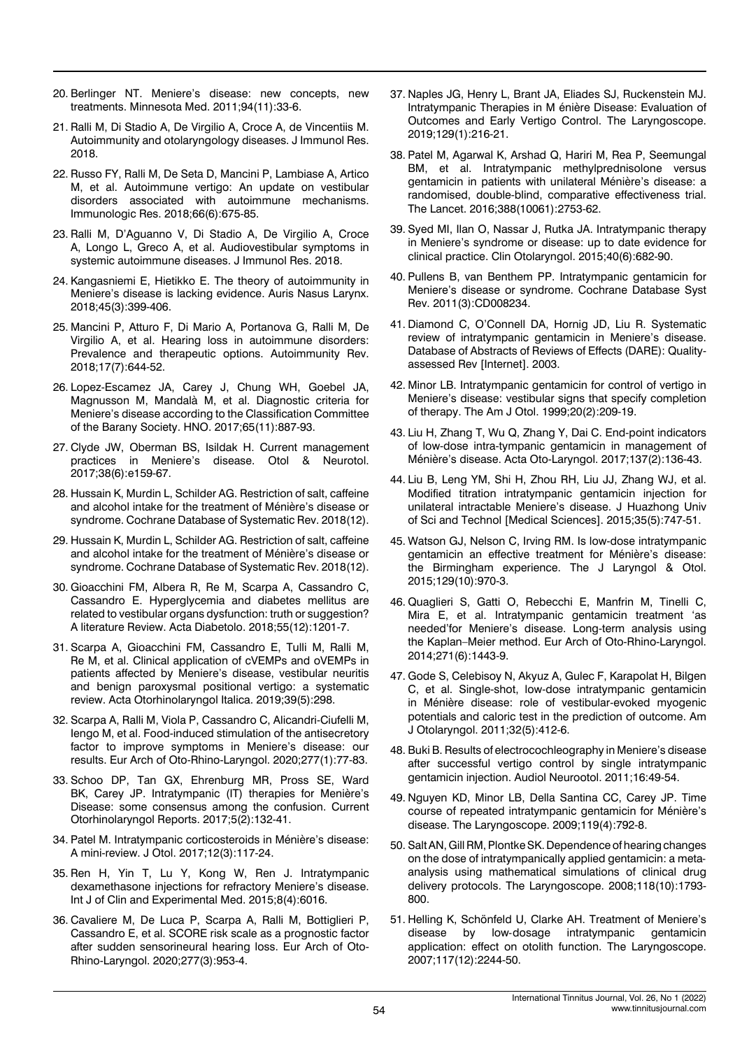- 20. Berlinger NT. [Meniere's disease: new concepts, new](http://pubs.royle.com/publication/?i=87440&article_id=882834&view=articleBrowser&ver=html5) [treatments](http://pubs.royle.com/publication/?i=87440&article_id=882834&view=articleBrowser&ver=html5). Minnesota Med. 2011;94(11):33-6.
- 21. Ralli M, Di Stadio A, De Virgilio A, Croce A, de Vincentiis M. Autoimmunity and otolaryngology diseases. J Immunol Res. 2018.
- 22. Russo FY, Ralli M, De Seta D, Mancini P, Lambiase A, Artico M, et al. [Autoimmune vertigo: An update on vestibular](https://link.springer.com/article/10.1007/s12026-018-9023-6) [disorders associated with autoimmune mechanisms.](https://link.springer.com/article/10.1007/s12026-018-9023-6) Immunologic Res. 2018;66(6):675-85.
- 23. Ralli M, D'Aguanno V, Di Stadio A, De Virgilio A, Croce A, Longo L, Greco A, et al. [Audiovestibular symptoms in](https://www.hindawi.com/journals/jir/2018/5798103/) [systemic autoimmune diseases.](https://www.hindawi.com/journals/jir/2018/5798103/) J Immunol Res. 2018.
- 24. Kangasniemi E, Hietikko E. [The theory of autoimmunity in](https://www.sciencedirect.com/science/article/abs/pii/S0385814617304388) [Meniere's disease is lacking evidence](https://www.sciencedirect.com/science/article/abs/pii/S0385814617304388). Auris Nasus Larynx. 2018;45(3):399-406.
- 25. Mancini P, Atturo F, Di Mario A, Portanova G, Ralli M, De Virgilio A, et al. [Hearing loss in autoimmune disorders:](https://www.sciencedirect.com/science/article/abs/pii/S1568997218301034) [Prevalence and therapeutic options](https://www.sciencedirect.com/science/article/abs/pii/S1568997218301034). Autoimmunity Rev. 2018;17(7):644-52.
- 26. Lopez-Escamez JA, Carey J, Chung WH, Goebel JA, Magnusson M, Mandalà M, et al. [Diagnostic criteria for](http://www.jvr-web.org/images/ves_2015_25-1_VES00549.pdf) [Meniere's disease according to the Classification Committee](http://www.jvr-web.org/images/ves_2015_25-1_VES00549.pdf) [of the Barany Society](http://www.jvr-web.org/images/ves_2015_25-1_VES00549.pdf). HNO. 2017;65(11):887-93.
- 27. Clyde JW, Oberman BS, Isildak H. [Current management](https://journals.lww.com/otology-neurotology/Abstract/2017/07000/Current_Management_Practices_in_M_ni_re_s_Disease.30.aspx) [practices in Meniere's disease.](https://journals.lww.com/otology-neurotology/Abstract/2017/07000/Current_Management_Practices_in_M_ni_re_s_Disease.30.aspx) Otol & Neurotol. 2017;38(6):e159-67.
- 28. Hussain K, Murdin L, Schilder AG. [Restriction of salt, caffeine](https://www.cochranelibrary.com/cdsr/doi/10.1002/14651858.CD012173.pub2/abstract) [and alcohol intake for the treatment of Ménière's disease or](https://www.cochranelibrary.com/cdsr/doi/10.1002/14651858.CD012173.pub2/abstract) [syndrome](https://www.cochranelibrary.com/cdsr/doi/10.1002/14651858.CD012173.pub2/abstract). Cochrane Database of Systematic Rev. 2018(12).
- 29. Hussain K, Murdin L, Schilder AG. [Restriction of salt, caffeine](https://www.cochranelibrary.com/cdsr/doi/10.1002/14651858.CD012173.pub2/full) [and alcohol intake for the treatment of Ménière's disease or](https://www.cochranelibrary.com/cdsr/doi/10.1002/14651858.CD012173.pub2/full) [syndrome](https://www.cochranelibrary.com/cdsr/doi/10.1002/14651858.CD012173.pub2/full). Cochrane Database of Systematic Rev. 2018(12).
- 30. Gioacchini FM, Albera R, Re M, Scarpa A, Cassandro C, Cassandro E. [Hyperglycemia and diabetes mellitus are](https://link.springer.com/article/10.1007/s00592-018-1183-2) [related to vestibular organs dysfunction: truth or suggestion?](https://link.springer.com/article/10.1007/s00592-018-1183-2) [A literature Review.](https://link.springer.com/article/10.1007/s00592-018-1183-2) Acta Diabetolo. 2018;55(12):1201-7.
- 31. Scarpa A, Gioacchini FM, Cassandro E, Tulli M, Ralli M, Re M, et al. [Clinical application of cVEMPs and oVEMPs in](https://www.actaitalica.it/article/view/517) [patients affected by Meniere's disease, vestibular neuritis](https://www.actaitalica.it/article/view/517) [and benign paroxysmal positional vertigo: a systematic](https://www.actaitalica.it/article/view/517) [review](https://www.actaitalica.it/article/view/517). Acta Otorhinolaryngol Italica. 2019;39(5):298.
- 32. Scarpa A, Ralli M, Viola P, Cassandro C, Alicandri-Ciufelli M, Iengo M, et al. [Food-induced stimulation of the antisecretory](https://link.springer.com/article/10.1007/s00405-019-05682-4) [factor to improve symptoms in Meniere's disease: our](https://link.springer.com/article/10.1007/s00405-019-05682-4) [results](https://link.springer.com/article/10.1007/s00405-019-05682-4). Eur Arch of Oto-Rhino-Laryngol. 2020;277(1):77-83.
- 33. Schoo DP, Tan GX, Ehrenburg MR, Pross SE, Ward BK, Carey JP. [Intratympanic \(IT\) therapies for Menière's](https://link.springer.com/article/10.1007/s40136-017-0153-5) [Disease: some consensus among the confusion.](https://link.springer.com/article/10.1007/s40136-017-0153-5) Current Otorhinolaryngol Reports. 2017;5(2):132-41.
- 34. Patel M. Intratympanic corticosteroids in Ménière's disease: A mini-review. J Otol. 2017;12(3):117-24.
- 35. Ren H, Yin T, Lu Y, Kong W, Ren J. Intratympanic dexamethasone injections for refractory Meniere's disease. Int J of Clin and Experimental Med. 2015;8(4):6016.
- 36. Cavaliere M, De Luca P, Scarpa A, Ralli M, Bottiglieri P, Cassandro E, et al. [SCORE risk scale as a prognostic factor](https://link.springer.com/article/10.1007/s00405-019-05771-4) [after sudden sensorineural hearing loss.](https://link.springer.com/article/10.1007/s00405-019-05771-4) Eur Arch of Oto-Rhino-Laryngol. 2020;277(3):953-4.
- 37. Naples JG, Henry L, Brant JA, Eliades SJ, Ruckenstein MJ. [Intratympanic Therapies in M énière Disease: Evaluation of](https://onlinelibrary.wiley.com/doi/abs/10.1002/lary.27392)  [Outcomes and Early Vertigo Control](https://onlinelibrary.wiley.com/doi/abs/10.1002/lary.27392). The Laryngoscope. 2019;129(1):216-21.
- 38. Patel M, Agarwal K, Arshad Q, Hariri M, Rea P, Seemungal BM, et al. [Intratympanic methylprednisolone versus](https://www.sciencedirect.com/science/article/pii/S0140673616314611)  [gentamicin in patients with unilateral Ménière's disease: a](https://www.sciencedirect.com/science/article/pii/S0140673616314611)  [randomised, double-blind, comparative effectiveness trial.](https://www.sciencedirect.com/science/article/pii/S0140673616314611) The Lancet. 2016;388(10061):2753-62.
- 39. Syed MI, Ilan O, Nassar J, Rutka JA. [Intratympanic therapy](https://onlinelibrary.wiley.com/doi/abs/10.1111/coa.12449)  [in Meniere's syndrome or disease: up to date evidence for](https://onlinelibrary.wiley.com/doi/abs/10.1111/coa.12449)  [clinical practice.](https://onlinelibrary.wiley.com/doi/abs/10.1111/coa.12449) Clin Otolaryngol. 2015;40(6):682-90.
- 40. Pullens B, van Benthem PP. [Intratympanic gentamicin for](https://www.cochrane.org/CD008234/ENT_intratympanic-gentamicin-for-menieres-disease-or-syndrome#:~:text=Intratympanic gentamicin is a relatively,of vertigo in M%C3%A9ni%C3%A8re)  [Meniere's disease or syndrome.](https://www.cochrane.org/CD008234/ENT_intratympanic-gentamicin-for-menieres-disease-or-syndrome#:~:text=Intratympanic gentamicin is a relatively,of vertigo in M%C3%A9ni%C3%A8re) Cochrane Database Syst Rev. 2011(3):CD008234.
- 41. Diamond C, O'Connell DA, Hornig JD, Liu R. Systematic review of intratympanic gentamicin in Meniere's disease. Database of Abstracts of Reviews of Effects (DARE): Qualityassessed Rev [Internet]. 2003.
- 42. Minor LB. Intratympanic gentamicin for control of vertigo in Meniere's disease: vestibular signs that specify completion of therapy. The Am J Otol. 1999;20(2):209-19.
- 43. Liu H, Zhang T, Wu Q, Zhang Y, Dai C. [End-point indicators](https://www.tandfonline.com/doi/abs/10.1080/00016489.2016.1224921)  [of low-dose intra-tympanic gentamicin in management of](https://www.tandfonline.com/doi/abs/10.1080/00016489.2016.1224921)  [Ménière's disease.](https://www.tandfonline.com/doi/abs/10.1080/00016489.2016.1224921) Acta Oto-Laryngol. 2017;137(2):136-43.
- 44. Liu B, Leng YM, Shi H, Zhou RH, Liu JJ, Zhang WJ, et al. [Modified titration intratympanic gentamicin injection for](https://link.springer.com/article/10.1007/s11596-015-1501-7)  [unilateral intractable Meniere's disease.](https://link.springer.com/article/10.1007/s11596-015-1501-7) J Huazhong Univ of Sci and Technol [Medical Sciences]. 2015;35(5):747-51.
- 45. Watson GJ, Nelson C, Irving RM. [Is low-dose intratympanic](https://www.cambridge.org/core/journals/journal-of-laryngology-and-otology/article/is-lowdose-intratympanic-gentamicin-an-effective-treatment-for-menieres-disease-the-birmingham-experience/851566DC2ACC822D0D94D2040D5D3B69)  [gentamicin an effective treatment for Ménière's disease:](https://www.cambridge.org/core/journals/journal-of-laryngology-and-otology/article/is-lowdose-intratympanic-gentamicin-an-effective-treatment-for-menieres-disease-the-birmingham-experience/851566DC2ACC822D0D94D2040D5D3B69)  [the Birmingham experience.](https://www.cambridge.org/core/journals/journal-of-laryngology-and-otology/article/is-lowdose-intratympanic-gentamicin-an-effective-treatment-for-menieres-disease-the-birmingham-experience/851566DC2ACC822D0D94D2040D5D3B69) The J Laryngol & Otol. 2015;129(10):970-3.
- 46. Quaglieri S, Gatti O, Rebecchi E, Manfrin M, Tinelli C, Mira E, et al. [Intratympanic gentamicin treatment 'as](https://link.springer.com/article/10.1007/s00405-013-2597-7)  [needed'for Meniere's disease. Long-term analysis using](https://link.springer.com/article/10.1007/s00405-013-2597-7)  [the Kaplan–Meier method.](https://link.springer.com/article/10.1007/s00405-013-2597-7) Eur Arch of Oto-Rhino-Laryngol. 2014;271(6):1443-9.
- 47. Gode S, Celebisoy N, Akyuz A, Gulec F, Karapolat H, Bilgen C, et al. [Single-shot, low-dose intratympanic gentamicin](https://www.sciencedirect.com/science/article/abs/pii/S0196070910001420)  [in Ménière disease: role of vestibular-evoked myogenic](https://www.sciencedirect.com/science/article/abs/pii/S0196070910001420)  [potentials and caloric test in the prediction of outcome](https://www.sciencedirect.com/science/article/abs/pii/S0196070910001420). Am J Otolaryngol. 2011;32(5):412-6.
- 48. Buki B. Results of electrocochleography in Meniere's disease after successful vertigo control by single intratympanic gentamicin injection. Audiol Neurootol. 2011;16:49-54.
- 49. Nguyen KD, Minor LB, Della Santina CC, Carey JP. [Time](https://onlinelibrary.wiley.com/doi/abs/10.1002/lary.20055)  [course of repeated intratympanic gentamicin for Ménière's](https://onlinelibrary.wiley.com/doi/abs/10.1002/lary.20055)  [disease](https://onlinelibrary.wiley.com/doi/abs/10.1002/lary.20055). The Laryngoscope. 2009;119(4):792-8.
- 50. Salt AN, Gill RM, Plontke SK. [Dependence of hearing changes](https://onlinelibrary.wiley.com/doi/abs/10.1097/MLG.0b013e31817d01cd)  [on the dose of intratympanically applied gentamicin: a meta](https://onlinelibrary.wiley.com/doi/abs/10.1097/MLG.0b013e31817d01cd)‐ [analysis using mathematical simulations of clinical drug](https://onlinelibrary.wiley.com/doi/abs/10.1097/MLG.0b013e31817d01cd)  [delivery protocols.](https://onlinelibrary.wiley.com/doi/abs/10.1097/MLG.0b013e31817d01cd) The Laryngoscope. 2008;118(10):1793- 800.
- 51. Helling K, Schönfeld U, Clarke AH. [Treatment of Meniere's](https://onlinelibrary.wiley.com/doi/abs/10.1097/MLG.0b013e3181453a3c)  disease by low‐[dosage intratympanic gentamicin](https://onlinelibrary.wiley.com/doi/abs/10.1097/MLG.0b013e3181453a3c)  [application: effect on otolith function.](https://onlinelibrary.wiley.com/doi/abs/10.1097/MLG.0b013e3181453a3c) The Laryngoscope. 2007;117(12):2244-50.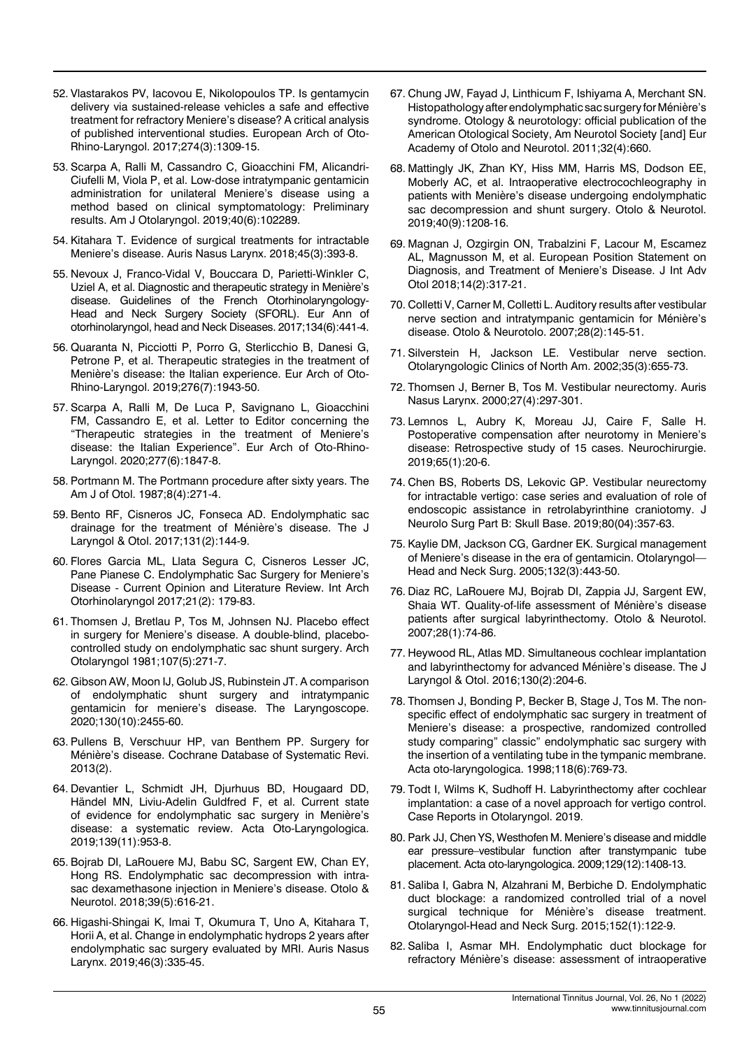- 52. Vlastarakos PV, Iacovou E, Nikolopoulos TP. [Is gentamycin](https://link.springer.com/article/10.1007/s00405-016-4294-9) [delivery via sustained-release vehicles a safe and effective](https://link.springer.com/article/10.1007/s00405-016-4294-9) [treatment for refractory Meniere's disease? A critical analysis](https://link.springer.com/article/10.1007/s00405-016-4294-9) [of published interventional studies.](https://link.springer.com/article/10.1007/s00405-016-4294-9) European Arch of Oto-Rhino-Laryngol. 2017;274(3):1309-15.
- 53. Scarpa A, Ralli M, Cassandro C, Gioacchini FM, Alicandri-Ciufelli M, Viola P, et al. [Low-dose intratympanic gentamicin](https://www.sciencedirect.com/science/article/abs/pii/S0196070919306866) [administration for unilateral Meniere's disease using a](https://www.sciencedirect.com/science/article/abs/pii/S0196070919306866) [method based on clinical symptomatology: Preliminary](https://www.sciencedirect.com/science/article/abs/pii/S0196070919306866) [results](https://www.sciencedirect.com/science/article/abs/pii/S0196070919306866). Am J Otolaryngol. 2019;40(6):102289.
- 54. Kitahara T. [Evidence of surgical treatments for intractable](https://www.sciencedirect.com/science/article/abs/pii/S0385814617301979) [Meniere's disease.](https://www.sciencedirect.com/science/article/abs/pii/S0385814617301979) Auris Nasus Larynx. 2018;45(3):393-8.
- 55. Nevoux J, Franco-Vidal V, Bouccara D, Parietti-Winkler C, Uziel A, et al. [Diagnostic and therapeutic strategy in Menière's](https://www.sciencedirect.com/science/article/pii/S1879729616302228) [disease. Guidelines of the French Otorhinolaryngology-](https://www.sciencedirect.com/science/article/pii/S1879729616302228)[Head and Neck Surgery Society \(SFORL\).](https://www.sciencedirect.com/science/article/pii/S1879729616302228) Eur Ann of otorhinolaryngol, head and Neck Diseases. 2017;134(6):441-4.
- 56. Quaranta N, Picciotti P, Porro G, Sterlicchio B, Danesi G, Petrone P, et al. [Therapeutic strategies in the treatment of](https://link.springer.com/article/10.1007/s00405-019-05423-7) [Menière's disease: the Italian experience.](https://link.springer.com/article/10.1007/s00405-019-05423-7) Eur Arch of Oto-Rhino-Laryngol. 2019;276(7):1943-50.
- 57. Scarpa A, Ralli M, De Luca P, Savignano L, Gioacchini FM, Cassandro E, et al. [Letter to Editor concerning the](https://jglobal.jst.go.jp/en/detail?JGLOBAL_ID=202002265092816844) ["Therapeutic strategies in the treatment of Meniere's](https://jglobal.jst.go.jp/en/detail?JGLOBAL_ID=202002265092816844) [disease: the Italian Experience".](https://jglobal.jst.go.jp/en/detail?JGLOBAL_ID=202002265092816844) Eur Arch of Oto-Rhino-Laryngol. 2020;277(6):1847-8.
- 58. Portmann M. The Portmann procedure after sixty years. The Am J of Otol. 1987;8(4):271-4.
- 59. Bento RF, Cisneros JC, Fonseca AD. [Endolymphatic sac](https://www.cambridge.org/core/journals/journal-of-laryngology-and-otology/article/abs/endolymphatic-sac-drainage-for-the-treatment-of-menieres-disease/D34E8A02FABBC44C0C0B465F557DE9B4) [drainage for the treatment of Ménière's disease](https://www.cambridge.org/core/journals/journal-of-laryngology-and-otology/article/abs/endolymphatic-sac-drainage-for-the-treatment-of-menieres-disease/D34E8A02FABBC44C0C0B465F557DE9B4). The J Laryngol & Otol. 2017;131(2):144-9.
- 60. Flores Garcia ML, Llata Segura C, Cisneros Lesser JC, Pane Pianese C. Endolymphatic Sac Surgery for Meniere's Disease - Current Opinion and Literature Review. Int Arch Otorhinolaryngol 2017;21(2): 179-83.
- 61. Thomsen J, Bretlau P, Tos M, Johnsen NJ. Placebo effect in surgery for Meniere's disease. A double-blind, placebocontrolled study on endolymphatic sac shunt surgery. Arch Otolaryngol 1981;107(5):271-7.
- 62. Gibson AW, Moon IJ, Golub JS, Rubinstein JT. [A comparison](https://onlinelibrary.wiley.com/doi/abs/10.1002/lary.28445) [of endolymphatic shunt surgery and intratympanic](https://onlinelibrary.wiley.com/doi/abs/10.1002/lary.28445) [gentamicin for meniere's disease.](https://onlinelibrary.wiley.com/doi/abs/10.1002/lary.28445) The Laryngoscope. 2020;130(10):2455-60.
- 63. Pullens B, Verschuur HP, van Benthem PP. [Surgery for](https://www.cochranelibrary.com/cdsr/doi/10.1002/14651858.CD005395.pub3/abstract) [Ménière's disease.](https://www.cochranelibrary.com/cdsr/doi/10.1002/14651858.CD005395.pub3/abstract) Cochrane Database of Systematic Revi. 2013(2).
- 64. Devantier L, Schmidt JH, Djurhuus BD, Hougaard DD, Händel MN, Liviu-Adelin Guldfred F, et al. [Current state](https://www.tandfonline.com/doi/abs/10.1080/00016489.2019.1657240) [of evidence for endolymphatic sac surgery in Menière's](https://www.tandfonline.com/doi/abs/10.1080/00016489.2019.1657240) [disease: a systematic review.](https://www.tandfonline.com/doi/abs/10.1080/00016489.2019.1657240) Acta Oto-Laryngologica. 2019;139(11):953-8.
- 65. Bojrab DI, LaRouere MJ, Babu SC, Sargent EW, Chan EY, Hong RS. [Endolymphatic sac decompression with intra](https://journals.lww.com/otology-neurotology/Abstract/2018/06000/Endolymphatic_Sac_Decompression_With_Intra_Sac.23.aspx)[sac dexamethasone injection in Meniere's disease](https://journals.lww.com/otology-neurotology/Abstract/2018/06000/Endolymphatic_Sac_Decompression_With_Intra_Sac.23.aspx). Otolo & Neurotol. 2018;39(5):616-21.
- 66. Higashi-Shingai K, Imai T, Okumura T, Uno A, Kitahara T, Horii A, et al. Change in endolymphatic hydrops 2 years after endolymphatic sac surgery evaluated by MRI. Auris Nasus Larynx. 2019;46(3):335-45.
- 67. Chung JW, Fayad J, Linthicum F, Ishiyama A, Merchant SN. Histopathology after endolymphatic sac surgery for Ménière's syndrome. Otology & neurotology: official publication of the American Otological Society, Am Neurotol Society [and] Eur Academy of Otolo and Neurotol. 2011;32(4):660.
- 68. Mattingly JK, Zhan KY, Hiss MM, Harris MS, Dodson EE, Moberly AC, et al. Intraoperative electrocochleography in patients with Menière's disease undergoing endolymphatic sac decompression and shunt surgery. Otolo & Neurotol. 2019;40(9):1208-16.
- 69. Magnan J, Ozgirgin ON, Trabalzini F, Lacour M, Escamez AL, Magnusson M, et al. [European Position Statement on](https://advancedotology.org/en/european-position-statement-on-diagnosis-and-treatment-of-meniere-s-disease-131245%5C)  [Diagnosis, and Treatment of Meniere's Disease](https://advancedotology.org/en/european-position-statement-on-diagnosis-and-treatment-of-meniere-s-disease-131245%5C). J Int Adv Otol 2018;14(2):317-21.
- 70. Colletti V, Carner M, Colletti L. Auditory results after vestibular nerve section and intratympanic gentamicin for Ménière's disease. Otolo & Neurotolo. 2007;28(2):145-51.
- 71. Silverstein H, Jackson LE. [Vestibular nerve section](https://www.oto.theclinics.com/article/S0030-6665(02)00024-5/fulltext). Otolaryngologic Clinics of North Am. 2002;35(3):655-73.
- 72. Thomsen J, Berner B, Tos M. [Vestibular neurectomy](https://www.sciencedirect.com/science/article/abs/pii/S0385814600000766). Auris Nasus Larynx. 2000;27(4):297-301.
- 73. Lemnos L, Aubry K, Moreau JJ, Caire F, Salle H. [Postoperative compensation after neurotomy in Meniere's](https://www.sciencedirect.com/science/article/abs/pii/S0028377018303576)  [disease: Retrospective study of 15 cases.](https://www.sciencedirect.com/science/article/abs/pii/S0028377018303576) Neurochirurgie. 2019;65(1):20-6.
- 74. Chen BS, Roberts DS, Lekovic GP. [Vestibular neurectomy](https://www.thieme-connect.com/products/ejournals/abstract/10.1055/s-0038-1670685)  [for intractable vertigo: case series and evaluation of role of](https://www.thieme-connect.com/products/ejournals/abstract/10.1055/s-0038-1670685)  [endoscopic assistance in retrolabyrinthine craniotomy.](https://www.thieme-connect.com/products/ejournals/abstract/10.1055/s-0038-1670685) J Neurolo Surg Part B: Skull Base. 2019;80(04):357-63.
- 75. Kaylie DM, Jackson CG, Gardner EK. [Surgical management](https://journals.sagepub.com/doi/abs/10.1016/j.otohns.2004.10.011)  [of Meniere's disease in the era of gentamicin.](https://journals.sagepub.com/doi/abs/10.1016/j.otohns.2004.10.011) Otolaryngol— Head and Neck Surg. 2005;132(3):443-50.
- 76. Diaz RC, LaRouere MJ, Bojrab DI, Zappia JJ, Sargent EW, Shaia WT. [Quality-of-life assessment of Ménière's disease](https://journals.lww.com/otology-neurotology/Abstract/2007/01000/Quality_of_Life_Assessment_of_M_ni_re_s_Disease.13.aspx)  [patients after surgical labyrinthectomy](https://journals.lww.com/otology-neurotology/Abstract/2007/01000/Quality_of_Life_Assessment_of_M_ni_re_s_Disease.13.aspx). Otolo & Neurotol. 2007;28(1):74-86.
- 77. Heywood RL, Atlas MD. [Simultaneous cochlear implantation](https://www.cambridge.org/core/journals/journal-of-laryngology-and-otology/article/simultaneous-cochlear-implantation-and-labyrinthectomy-for-advanced-menieres-disease/20EFCD01F1662E20353F1C16A12E0020)  [and labyrinthectomy for advanced Ménière's disease.](https://www.cambridge.org/core/journals/journal-of-laryngology-and-otology/article/simultaneous-cochlear-implantation-and-labyrinthectomy-for-advanced-menieres-disease/20EFCD01F1662E20353F1C16A12E0020) The J Laryngol & Otol. 2016;130(2):204-6.
- 78. Thomsen J, Bonding P, Becker B, Stage J, Tos M. [The non](https://www.tandfonline.com/doi/abs/10.1080/00016489850182413)[specific effect of endolymphatic sac surgery in treatment of](https://www.tandfonline.com/doi/abs/10.1080/00016489850182413)  [Meniere's disease: a prospective, randomized controlled](https://www.tandfonline.com/doi/abs/10.1080/00016489850182413)  [study comparing" classic" endolymphatic sac surgery with](https://www.tandfonline.com/doi/abs/10.1080/00016489850182413)  [the insertion of a ventilating tube in the tympanic membrane.](https://www.tandfonline.com/doi/abs/10.1080/00016489850182413) Acta oto-laryngologica. 1998;118(6):769-73.
- 79. Todt I, Wilms K, Sudhoff H. [Labyrinthectomy after cochlear](https://www.hindawi.com/journals/criot/2019/2783752/)  [implantation: a case of a novel approach for vertigo control](https://www.hindawi.com/journals/criot/2019/2783752/). Case Reports in Otolaryngol. 2019.
- 80. Park JJ, Chen YS, Westhofen M. [Meniere's disease and middle](https://www.tandfonline.com/doi/abs/10.3109/00016480902791678)  [ear pressure–vestibular function after transtympanic tube](https://www.tandfonline.com/doi/abs/10.3109/00016480902791678)  [placement.](https://www.tandfonline.com/doi/abs/10.3109/00016480902791678) Acta oto-laryngologica. 2009;129(12):1408-13.
- 81. Saliba I, Gabra N, Alzahrani M, Berbiche D. [Endolymphatic](https://journals.sagepub.com/doi/abs/10.1177/0194599814555840)  [duct blockage: a randomized controlled trial of a novel](https://journals.sagepub.com/doi/abs/10.1177/0194599814555840)  [surgical technique for Ménière's disease treatment.](https://journals.sagepub.com/doi/abs/10.1177/0194599814555840) Otolaryngol-Head and Neck Surg. 2015;152(1):122-9.
- 82. Saliba I, Asmar MH. [Endolymphatic duct blockage for](https://www.tandfonline.com/doi/abs/10.1080/00016489.2018.1481524)  [refractory Ménière's disease: assessment of intraoperative](https://www.tandfonline.com/doi/abs/10.1080/00016489.2018.1481524)